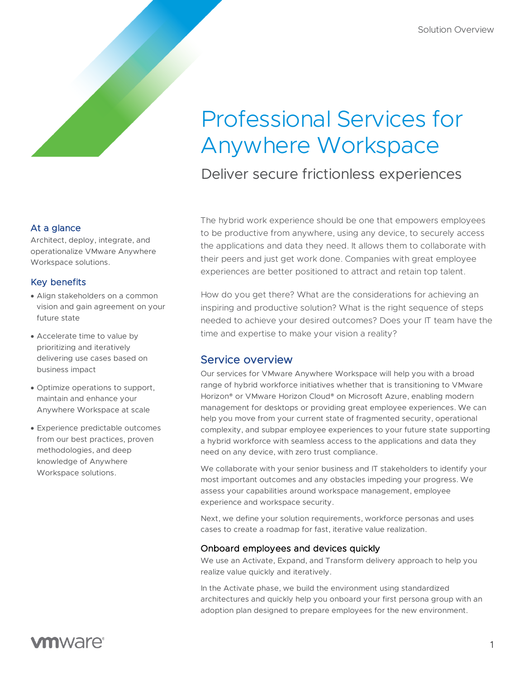# Professional Services for Anywhere Workspace

Deliver secure frictionless experiences

At a glance

Architect, deploy, integrate, and operationalize VMware Anywhere Workspace solutions.

#### Key benefits

- Align stakeholders on a common vision and gain agreement on your future state
- Accelerate time to value by prioritizing and iteratively delivering use cases based on business impact
- Optimize operations to support, maintain and enhance your Anywhere Workspace at scale
- Experience predictable outcomes from our best practices, proven methodologies, and deep knowledge of Anywhere Workspace solutions.

The hybrid work experience should be one that empowers employees to be productive from anywhere, using any device, to securely access the applications and data they need. It allows them to collaborate with their peers and just get work done. Companies with great employee experiences are better positioned to attract and retain top talent.

How do you get there? What are the considerations for achieving an inspiring and productive solution? What is the right sequence of steps needed to achieve your desired outcomes? Does your IT team have the time and expertise to make your vision a reality?

## Service overview

Our services for VMware Anywhere Workspace will help you with a broad range of hybrid workforce initiatives whether that is transitioning to VMware Horizon® or VMware Horizon Cloud® on Microsoft Azure, enabling modern management for desktops or providing great employee experiences. We can help you move from your current state of fragmented security, operational complexity, and subpar employee experiences to your future state supporting a hybrid workforce with seamless access to the applications and data they need on any device, with zero trust compliance.

We collaborate with your senior business and IT stakeholders to identify your most important outcomes and any obstacles impeding your progress. We assess your capabilities around workspace management, employee experience and workspace security.

Next, we define your solution requirements, workforce personas and uses cases to create a roadmap for fast, iterative value realization.

#### Onboard employees and devices quickly

We use an Activate, Expand, and Transform delivery approach to help you realize value quickly and iteratively.

In the Activate phase, we build the environment using standardized architectures and quickly help you onboard your first persona group with an adoption plan designed to prepare employees for the new environment.